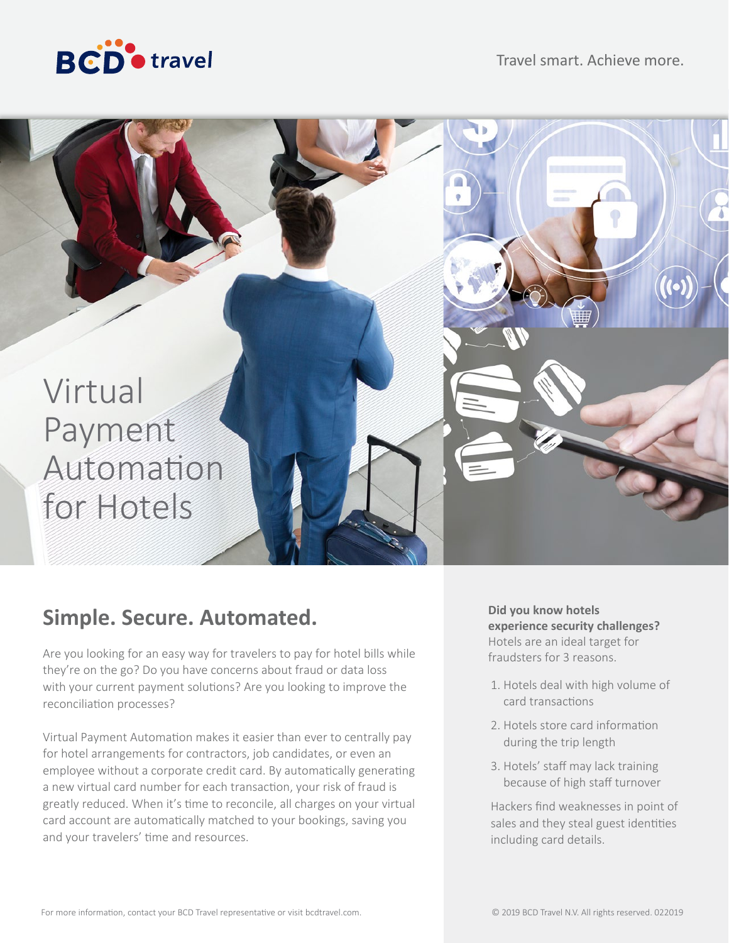



# **Simple. Secure. Automated.**

Are you looking for an easy way for travelers to pay for hotel bills while they're on the go? Do you have concerns about fraud or data loss with your current payment solutions? Are you looking to improve the reconciliation processes?

Virtual Payment Automation makes it easier than ever to centrally pay for hotel arrangements for contractors, job candidates, or even an employee without a corporate credit card. By automatically generating a new virtual card number for each transaction, your risk of fraud is greatly reduced. When it's time to reconcile, all charges on your virtual card account are automatically matched to your bookings, saving you and your travelers' time and resources.

### **Did you know hotels experience security challenges?** Hotels are an ideal target for

fraudsters for 3 reasons.

- 1. Hotels deal with high volume of card transactions
- 2. Hotels store card information during the trip length
- 3. Hotels' staff may lack training because of high staff turnover

Hackers find weaknesses in point of sales and they steal guest identities including card details.